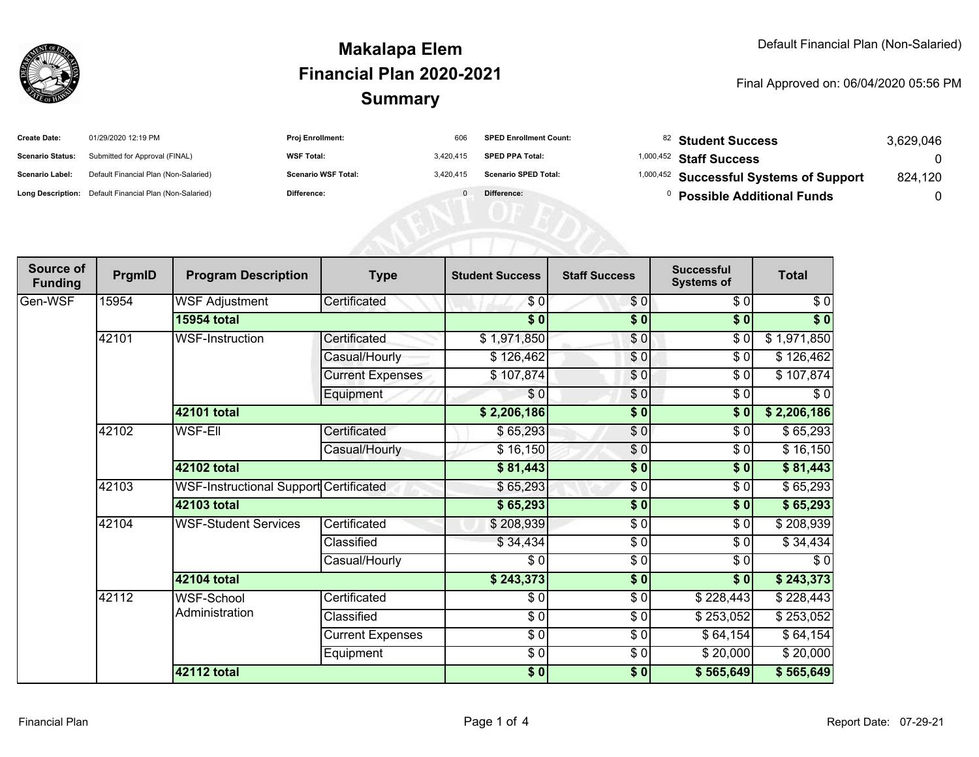

## **SummaryMakalapa ElemFinancial Plan 2020-2021**

#### Final Approved on: 06/04/2020 05:56 PM

| <b>Create Date:</b>     | 01/29/2020 12:19 PM                                     | <b>Proj Enrollment:</b>    | 606       | <b>SPED Enrollment Count:</b> | <sup>82</sup> Student Success                      | 3,629,046 |
|-------------------------|---------------------------------------------------------|----------------------------|-----------|-------------------------------|----------------------------------------------------|-----------|
| <b>Scenario Status:</b> | Submitted for Approval (FINAL)                          | <b>WSF Total:</b>          | 3,420,415 | <b>SPED PPA Total:</b>        | $1,000,452$ Staff Success                          |           |
| <b>Scenario Label:</b>  | Default Financial Plan (Non-Salaried)                   | <b>Scenario WSF Total:</b> | 3.420.415 | <b>Scenario SPED Total:</b>   | <sup>1,000,452</sup> Successful Systems of Support | 824,120   |
|                         | Long Description: Default Financial Plan (Non-Salaried) | Difference:                | $\Omega$  | Difference:                   | <b>Possible Additional Funds</b>                   |           |
|                         |                                                         |                            |           |                               |                                                    |           |
|                         |                                                         |                            |           |                               |                                                    |           |
|                         |                                                         |                            |           |                               |                                                    |           |

| Source of<br><b>Funding</b> | PrgmID | <b>Program Description</b>             | <b>Type</b>             | <b>Student Success</b>   | <b>Staff Success</b> | <b>Successful</b><br><b>Systems of</b> | <b>Total</b>      |
|-----------------------------|--------|----------------------------------------|-------------------------|--------------------------|----------------------|----------------------------------------|-------------------|
| Gen-WSF                     | 15954  | <b>WSF Adjustment</b>                  | Certificated            | \$0                      | \$0                  | \$0                                    | \$0               |
|                             |        | <b>15954 total</b>                     |                         | $\overline{\bullet}$     | $\overline{\$0}$     | $\overline{\$0}$                       | $\overline{\$}$ 0 |
|                             | 42101  | <b>WSF-Instruction</b>                 | Certificated            | \$1,971,850              | \$0                  | \$0                                    | \$1,971,850       |
|                             |        |                                        | Casual/Hourly           | \$126,462                | \$0                  | $\frac{1}{\sqrt{2}}$                   | \$126,462         |
|                             |        |                                        | <b>Current Expenses</b> | \$107,874                | \$0                  | $\sqrt{6}$                             | \$107,874         |
|                             |        |                                        | Equipment               | \$0                      | \$0                  | $\sqrt{6}$                             | \$0               |
|                             |        | 42101 total                            |                         | \$2,206,186              | \$0                  | \$0]                                   | \$2,206,186       |
|                             | 42102  | WSF-Ell                                | Certificated            | \$65,293                 | $\frac{6}{9}$        | \$0                                    | \$65,293          |
|                             |        |                                        | Casual/Hourly           | \$16,150                 | \$0                  | \$0                                    | \$16,150          |
|                             |        | 42102 total                            |                         | \$81,443                 | \$0                  | \$0                                    | \$81,443          |
|                             | 42103  | WSF-Instructional Support Certificated |                         | \$65,293                 | \$0                  | \$0                                    | \$65,293          |
|                             |        | 42103 total                            |                         | \$65,293                 | \$0                  | \$0                                    | \$65,293          |
|                             | 42104  | <b>WSF-Student Services</b>            | Certificated            | \$208,939                | $\frac{3}{6}$        | \$0                                    | \$208,939         |
|                             |        |                                        | Classified              | \$34,434                 | \$0                  | \$0                                    | \$34,434          |
|                             |        |                                        | Casual/Hourly           | \$0                      | \$0                  | \$0                                    | \$0               |
|                             |        | <b>42104 total</b>                     |                         | \$243,373                | $\frac{1}{2}$        | \$0                                    | \$243,373         |
|                             | 42112  | <b>WSF-School</b><br>Administration    | Certificated            | \$0                      | $\frac{3}{2}$        | \$228,443                              | \$228,443         |
|                             |        |                                        | Classified              | \$0                      | \$0                  | \$253,052                              | \$253,052         |
|                             |        |                                        | <b>Current Expenses</b> | $\overline{\frac{1}{2}}$ | \$0                  | \$64,154                               | \$64,154          |
|                             |        |                                        | Equipment               | $\frac{6}{6}$            | \$0                  | \$20,000                               | \$20,000          |
|                             |        | <b>42112 total</b>                     |                         | \$0]                     | $\frac{1}{2}$        | \$565,649                              | \$565,649         |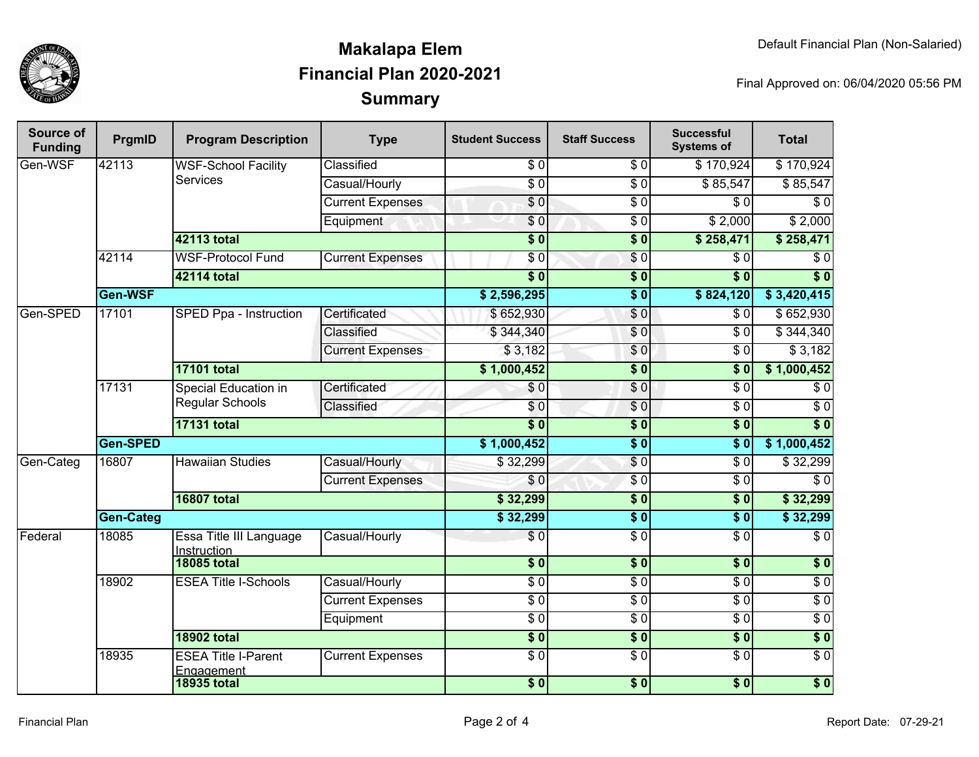

# **SummaryMakalapa ElemFinancial Plan 2020-2021**

Final Approved on: 06/04/2020 05:56 PM

| <b>Source of</b><br><b>Funding</b> | PrgmID                                           | <b>Program Description</b>                     | <b>Type</b>             | <b>Student Success</b> | <b>Staff Success</b> | <b>Successful</b><br><b>Systems of</b> | <b>Total</b>     |
|------------------------------------|--------------------------------------------------|------------------------------------------------|-------------------------|------------------------|----------------------|----------------------------------------|------------------|
| Gen-WSF                            | 42113                                            | <b>WSF-School Facility</b><br><b>Services</b>  | Classified              | \$0                    | \$0                  | \$170,924                              | \$170,924        |
|                                    |                                                  |                                                | Casual/Hourly           | $\overline{60}$        | $\overline{\$0}$     | \$85,547                               | \$85,547         |
|                                    |                                                  |                                                | <b>Current Expenses</b> | $\overline{\$0}$       | $\overline{\$0}$     | $\overline{\$0}$                       | $\sqrt{6}$       |
|                                    |                                                  |                                                | Equipment               | \$0                    | $\overline{\$0}$     | \$2,000                                | \$2,000          |
|                                    |                                                  | <b>42113 total</b>                             |                         | $\overline{\$0}$       | $\overline{\$0}$     | \$258,471                              | \$258,471        |
|                                    | 42114<br><b>WSF-Protocol Fund</b><br>42114 total |                                                | <b>Current Expenses</b> | \$0                    | $\sqrt{6}$           | $\overline{\$0}$                       | $\sqrt{6}$       |
|                                    |                                                  |                                                |                         | $\overline{\$0}$       | $\overline{\$0}$     | $\overline{\$0}$                       | $\overline{\$0}$ |
|                                    | Gen-WSF                                          |                                                |                         | \$2,596,295            | $\overline{\$0}$     | \$824,120                              | \$3,420,415      |
| Gen-SPED                           | 17101                                            | SPED Ppa - Instruction                         | Certificated            | \$652,930              | \$0                  | $\overline{\$0}$                       | \$652,930        |
|                                    |                                                  |                                                | Classified              | \$344,340              | $\sqrt{0}$           | $\overline{\$0}$                       | \$344,340        |
|                                    |                                                  |                                                | <b>Current Expenses</b> | \$3,182                | $\sqrt{0}$           | $\overline{\$0}$                       | \$3,182          |
|                                    |                                                  | <b>17101 total</b>                             |                         | \$1,000,452            | $\overline{\$0}$     | $\overline{\$0}$                       | \$1,000,452      |
|                                    | 17131                                            | <b>Special Education in</b><br>Regular Schools | Certificated            | \$0                    | \$0                  | $\overline{\$0}$                       | $\sqrt{6}$       |
|                                    |                                                  |                                                | Classified              | \$0                    | $\sqrt{6}$           | $\overline{50}$                        | $\overline{\$0}$ |
|                                    |                                                  | <b>17131 total</b>                             |                         | $\overline{\$0}$       | $\sqrt{ }$           | $\overline{\$0}$                       | $\overline{\$0}$ |
|                                    | Gen-SPED                                         |                                                |                         | \$1,000,452            | $\overline{\$0}$     | $\overline{\$0}$                       | \$1,000,452      |
| Gen-Categ                          | 16807                                            | <b>Hawaiian Studies</b>                        | Casual/Hourly           | \$32,299               | \$0                  | $\overline{\$0}$                       | \$32,299         |
|                                    |                                                  |                                                | <b>Current Expenses</b> | \$0                    | $\overline{\$0}$     | $\overline{\$0}$                       | $\overline{\$0}$ |
|                                    |                                                  | <b>16807 total</b>                             |                         | \$32,299               | $\overline{\$0}$     | $\overline{\$0}$                       | \$32,299         |
|                                    | <b>Gen-Categ</b>                                 |                                                |                         |                        | $\overline{\$0}$     | $\overline{\$0}$                       | \$32,299         |
| Federal                            | 18085                                            | Essa Title III Language<br>Instruction         | Casual/Hourly           | $\overline{\$0}$       | $\overline{\$0}$     | $\overline{\$0}$                       | $\overline{\$0}$ |
|                                    |                                                  | <b>18085 total</b>                             |                         | \$0                    | $\overline{\$0}$     | $\overline{\$0}$                       | \$0              |
|                                    | 18902                                            | <b>ESEA Title I-Schools</b>                    | Casual/Hourly           | $\overline{\$0}$       | $\overline{\$0}$     | $\overline{\$0}$                       | $\overline{30}$  |
|                                    |                                                  |                                                | <b>Current Expenses</b> | $\overline{\$0}$       | $\overline{\$0}$     | $\overline{\$0}$                       | $\overline{\$0}$ |
|                                    |                                                  |                                                | Equipment               | $\overline{\$0}$       | $\overline{\$0}$     | $\overline{\$0}$                       | $\overline{\$0}$ |
|                                    |                                                  | <b>18902 total</b>                             |                         | \$0                    | $\sqrt{6}$           | $\sqrt{6}$                             | $\overline{\$0}$ |
|                                    | 18935                                            | <b>ESEA Title I-Parent</b><br>Engagement       | <b>Current Expenses</b> | $\overline{\$0}$       | $\overline{\$0}$     | $\overline{\$0}$                       | $\overline{30}$  |
|                                    |                                                  | <b>18935 total</b>                             |                         | $\frac{1}{2}$          | \$0                  | $\sqrt{6}$                             | $\overline{\$0}$ |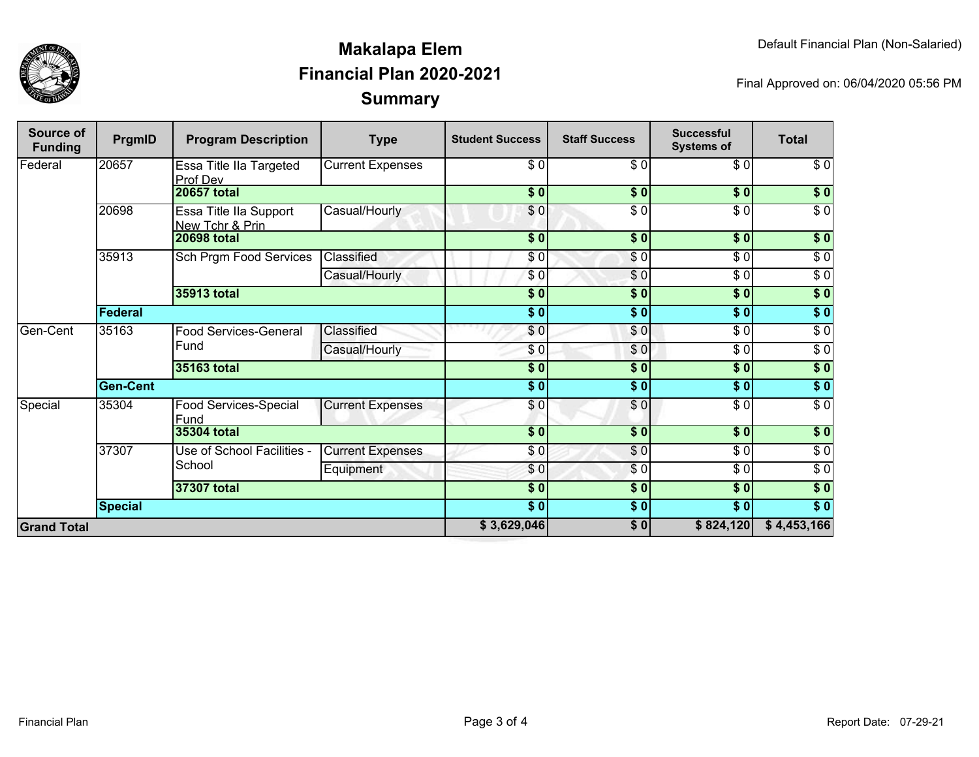

## **SummaryMakalapa ElemFinancial Plan 2020-2021**

Final Approved on: 06/04/2020 05:56 PM

| Source of<br><b>Funding</b> | PrgmID          | <b>Program Description</b>                       | <b>Type</b>             | <b>Student Success</b> | <b>Staff Success</b> | <b>Successful</b><br><b>Systems of</b> | <b>Total</b>     |
|-----------------------------|-----------------|--------------------------------------------------|-------------------------|------------------------|----------------------|----------------------------------------|------------------|
| Federal                     | 20657           | Essa Title IIa Targeted<br>Prof Dev              | <b>Current Expenses</b> | \$0                    | $\sqrt{6}$           | \$0                                    | \$0              |
|                             |                 | <b>20657 total</b>                               |                         | \$0]                   | \$0                  | \$0                                    | $\sqrt{ }$       |
|                             | 20698           | <b>Essa Title Ila Support</b><br>New Tchr & Prin | Casual/Hourly           | \$0                    | $\overline{\$0}$     | $\overline{\$0}$                       | $\overline{\$0}$ |
|                             |                 | <b>20698 total</b>                               |                         | $\sqrt{5}$             | $\frac{1}{2}$        | $\sqrt{6}$                             | $\overline{\$}0$ |
|                             | 35913           | Sch Prgm Food Services                           | Classified              | \$0                    | $\frac{1}{\epsilon}$ | $\frac{6}{6}$                          | $\sqrt{6}$       |
|                             |                 |                                                  | Casual/Hourly           | \$0                    | \$0                  | $\sqrt{6}$                             | $\sqrt{6}$       |
|                             |                 | <b>35913 total</b>                               |                         | $\frac{1}{2}$          | $\frac{1}{2}$        | $\sqrt{6}$                             | $\overline{\$}0$ |
|                             | <b>Federal</b>  |                                                  |                         | $\overline{\bullet}$   | $\overline{\bullet}$ | $\sqrt{6}$                             | $\sqrt{50}$      |
| Gen-Cent                    | 35163           | Food Services-General<br>Fund                    | Classified              | \$0                    | $\frac{6}{3}$        | $\sqrt{6}$                             | $\sqrt{6}$       |
|                             |                 |                                                  | Casual/Hourly           | $\frac{6}{3}$          | \$0                  | $\frac{1}{\sqrt{2}}$                   | $\sqrt{6}$       |
|                             |                 | 35163 total                                      |                         | $\frac{1}{2}$          | \$0                  | $\sqrt{6}$                             | \$0              |
|                             | <b>Gen-Cent</b> |                                                  |                         | $\frac{6}{6}$          | \$0                  | \$0                                    | \$0              |
| Special                     | 35304           | Food Services-Special<br>Fund                    | <b>Current Expenses</b> | $\frac{6}{3}$          | $\sqrt{0}$           | \$0                                    | $\sqrt{6}$       |
|                             |                 | 35304 total                                      |                         | $s$ <sub>0</sub>       | $\overline{\$0}$     | $\sqrt{5}$                             | $\overline{\$0}$ |
|                             | 37307           | Use of School Facilities -<br>School             | <b>Current Expenses</b> | \$0                    | $\overline{\$0}$     | $\sqrt{6}$                             | $\sqrt{6}$       |
|                             |                 |                                                  | Equipment               | \$0                    | $\sqrt{6}$           | $\sqrt{6}$                             | $\sqrt{6}$       |
|                             |                 | 37307 total                                      |                         | $\overline{\$0}$       | $\overline{\$0}$     | 30                                     | $\sqrt{50}$      |
|                             | Special         |                                                  |                         | $\overline{\$0}$       | \$0                  | $\overline{\$0}$                       | $\sqrt{50}$      |
| <b>Grand Total</b>          |                 |                                                  |                         | \$3,629,046            | $\overline{\$0}$     | \$824,120                              | \$4,453,166      |